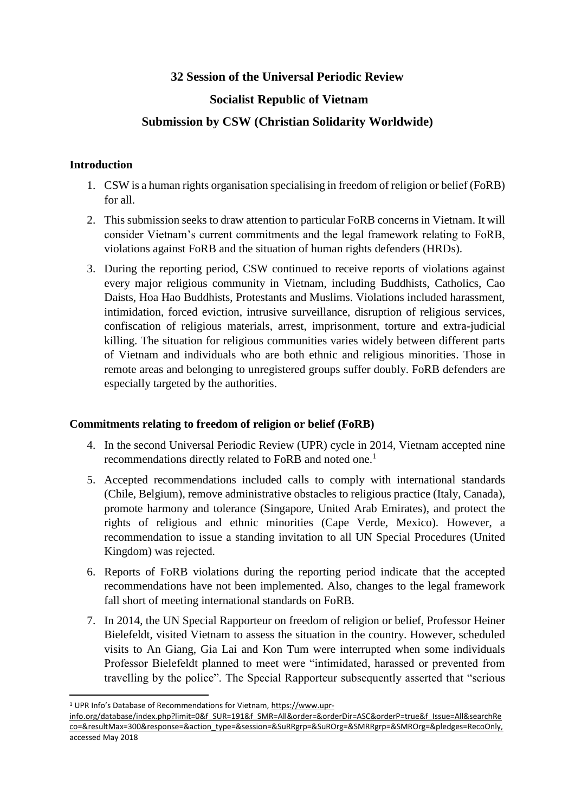# **32 Session of the Universal Periodic Review**

# **Socialist Republic of Vietnam**

# **Submission by CSW (Christian Solidarity Worldwide)**

## **Introduction**

- 1. CSW is a human rights organisation specialising in freedom of religion or belief (FoRB) for all.
- 2. This submission seeks to draw attention to particular FoRB concerns in Vietnam. It will consider Vietnam's current commitments and the legal framework relating to FoRB, violations against FoRB and the situation of human rights defenders (HRDs).
- 3. During the reporting period, CSW continued to receive reports of violations against every major religious community in Vietnam, including Buddhists, Catholics, Cao Daists, Hoa Hao Buddhists, Protestants and Muslims. Violations included harassment, intimidation, forced eviction, intrusive surveillance, disruption of religious services, confiscation of religious materials, arrest, imprisonment, torture and extra-judicial killing. The situation for religious communities varies widely between different parts of Vietnam and individuals who are both ethnic and religious minorities. Those in remote areas and belonging to unregistered groups suffer doubly. FoRB defenders are especially targeted by the authorities.

## **Commitments relating to freedom of religion or belief (FoRB)**

- 4. In the second Universal Periodic Review (UPR) cycle in 2014, Vietnam accepted nine recommendations directly related to FoRB and noted one.<sup>1</sup>
- 5. Accepted recommendations included calls to comply with international standards (Chile, Belgium), remove administrative obstacles to religious practice (Italy, Canada), promote harmony and tolerance (Singapore, United Arab Emirates), and protect the rights of religious and ethnic minorities (Cape Verde, Mexico). However, a recommendation to issue a standing invitation to all UN Special Procedures (United Kingdom) was rejected.
- 6. Reports of FoRB violations during the reporting period indicate that the accepted recommendations have not been implemented. Also, changes to the legal framework fall short of meeting international standards on FoRB.
- 7. In 2014, the UN Special Rapporteur on freedom of religion or belief, Professor Heiner Bielefeldt, visited Vietnam to assess the situation in the country. However, scheduled visits to An Giang, Gia Lai and Kon Tum were interrupted when some individuals Professor Bielefeldt planned to meet were "intimidated, harassed or prevented from travelling by the police". The Special Rapporteur subsequently asserted that "serious

<sup>1</sup> UPR Info's Database of Recommendations for Vietnam, [https://www.upr-](https://www.upr-info.org/database/index.php?limit=0&f_SUR=191&f_SMR=All&order=&orderDir=ASC&orderP=true&f_Issue=All&searchReco=&resultMax=300&response=&action_type=&session=&SuRRgrp=&SuROrg=&SMRRgrp=&SMROrg=&pledges=RecoOnly,)

[info.org/database/index.php?limit=0&f\\_SUR=191&f\\_SMR=All&order=&orderDir=ASC&orderP=true&f\\_Issue=All&searchRe](https://www.upr-info.org/database/index.php?limit=0&f_SUR=191&f_SMR=All&order=&orderDir=ASC&orderP=true&f_Issue=All&searchReco=&resultMax=300&response=&action_type=&session=&SuRRgrp=&SuROrg=&SMRRgrp=&SMROrg=&pledges=RecoOnly,) [co=&resultMax=300&response=&action\\_type=&session=&SuRRgrp=&SuROrg=&SMRRgrp=&SMROrg=&pledges=RecoOnly,](https://www.upr-info.org/database/index.php?limit=0&f_SUR=191&f_SMR=All&order=&orderDir=ASC&orderP=true&f_Issue=All&searchReco=&resultMax=300&response=&action_type=&session=&SuRRgrp=&SuROrg=&SMRRgrp=&SMROrg=&pledges=RecoOnly,) accessed May 2018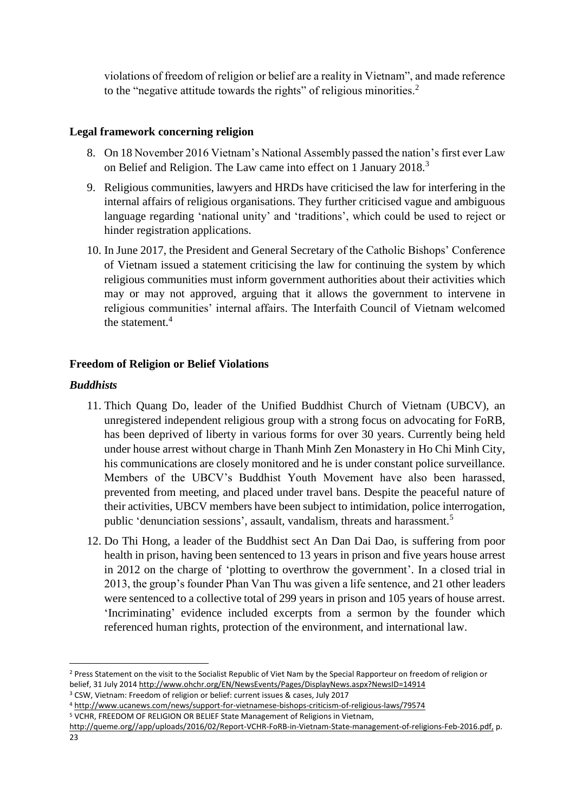violations of freedom of religion or belief are a reality in Vietnam", and made reference to the "negative attitude towards the rights" of religious minorities.<sup>2</sup>

### **Legal framework concerning religion**

- 8. On 18 November 2016 Vietnam's National Assembly passed the nation's first ever Law on Belief and Religion. The Law came into effect on 1 January 2018.<sup>3</sup>
- 9. Religious communities, lawyers and HRDs have criticised the law for interfering in the internal affairs of religious organisations. They further criticised vague and ambiguous language regarding 'national unity' and 'traditions', which could be used to reject or hinder registration applications.
- 10. In June 2017, the President and General Secretary of the Catholic Bishops' Conference of Vietnam issued a statement criticising the law for continuing the system by which religious communities must inform government authorities about their activities which may or may not approved, arguing that it allows the government to intervene in religious communities' internal affairs. The Interfaith Council of Vietnam welcomed the statement.<sup>4</sup>

## **Freedom of Religion or Belief Violations**

#### *Buddhists*

- 11. Thich Quang Do, leader of the Unified Buddhist Church of Vietnam (UBCV), an unregistered independent religious group with a strong focus on advocating for FoRB, has been deprived of liberty in various forms for over 30 years. Currently being held under house arrest without charge in Thanh Minh Zen Monastery in Ho Chi Minh City, his communications are closely monitored and he is under constant police surveillance. Members of the UBCV's Buddhist Youth Movement have also been harassed, prevented from meeting, and placed under travel bans. Despite the peaceful nature of their activities, UBCV members have been subject to intimidation, police interrogation, public 'denunciation sessions', assault, vandalism, threats and harassment.<sup>5</sup>
- 12. Do Thi Hong, a leader of the Buddhist sect An Dan Dai Dao, is suffering from poor health in prison, having been sentenced to 13 years in prison and five years house arrest in 2012 on the charge of 'plotting to overthrow the government'. In a closed trial in 2013, the group's founder Phan Van Thu was given a life sentence, and 21 other leaders were sentenced to a collective total of 299 years in prison and 105 years of house arrest. 'Incriminating' evidence included excerpts from a sermon by the founder which referenced human rights, protection of the environment, and international law.

[http://queme.org//app/uploads/2016/02/Report-VCHR-FoRB-in-Vietnam-State-management-of-religions-Feb-2016.pdf,](http://queme.org/app/uploads/2016/02/Report-VCHR-FoRB-in-Vietnam-State-management-of-religions-Feb-2016.pdf,) p.

<sup>&</sup>lt;sup>2</sup> Press Statement on the visit to the Socialist Republic of Viet Nam by the Special Rapporteur on freedom of religion or belief, 31 July 2014<http://www.ohchr.org/EN/NewsEvents/Pages/DisplayNews.aspx?NewsID=14914>

<sup>3</sup> CSW, Vietnam: Freedom of religion or belief: current issues & cases, July 2017

<sup>4</sup> http://www.ucanews.com/news/support-for-vietnamese-bishops-criticism-of-religious-laws/79574 <sup>5</sup> VCHR, FREEDOM OF RELIGION OR BELIEF State Management of Religions in Vietnam,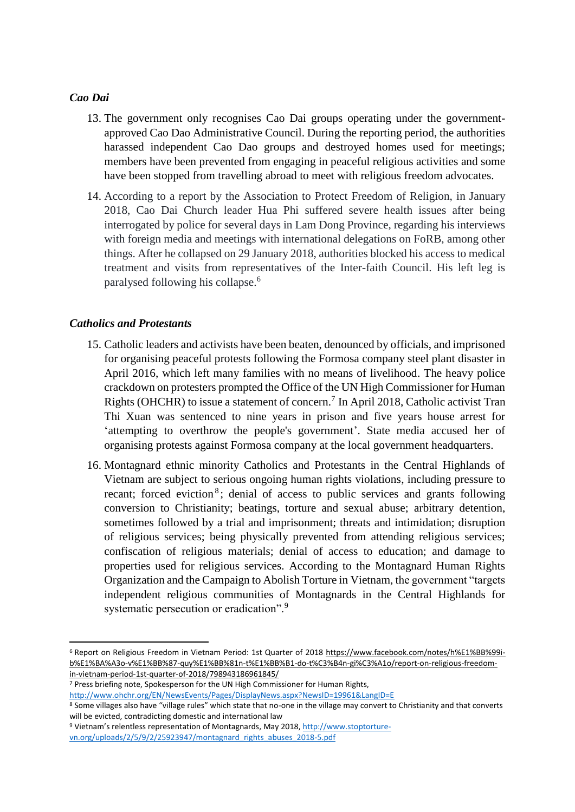### *Cao Dai*

- 13. The government only recognises Cao Dai groups operating under the governmentapproved Cao Dao Administrative Council. During the reporting period, the authorities harassed independent Cao Dao groups and destroyed homes used for meetings; members have been prevented from engaging in peaceful religious activities and some have been stopped from travelling abroad to meet with religious freedom advocates.
- 14. According to a report by the Association to Protect Freedom of Religion, in January 2018, Cao Dai Church leader Hua Phi suffered severe health issues after being interrogated by police for several days in Lam Dong Province, regarding his interviews with foreign media and meetings with international delegations on FoRB, among other things. After he collapsed on 29 January 2018, authorities blocked his access to medical treatment and visits from representatives of the Inter-faith Council. His left leg is paralysed following his collapse.<sup>6</sup>

# *Catholics and Protestants*

**.** 

- 15. Catholic leaders and activists have been beaten, denounced by officials, and imprisoned for organising peaceful protests following the Formosa company steel plant disaster in April 2016, which left many families with no means of livelihood. The heavy police crackdown on protesters prompted the Office of the UN High Commissioner for Human Rights (OHCHR) to issue a statement of concern.<sup>7</sup> In April 2018, Catholic activist Tran Thi Xuan was sentenced to nine years in prison and five years house arrest for 'attempting to overthrow the people's government'. State media accused her of organising protests against Formosa company at the local government headquarters.
- 16. Montagnard ethnic minority Catholics and Protestants in the Central Highlands of Vietnam are subject to serious ongoing human rights violations, including pressure to recant; forced eviction<sup>8</sup>; denial of access to public services and grants following conversion to Christianity; beatings, torture and sexual abuse; arbitrary detention, sometimes followed by a trial and imprisonment; threats and intimidation; disruption of religious services; being physically prevented from attending religious services; confiscation of religious materials; denial of access to education; and damage to properties used for religious services. According to the Montagnard Human Rights Organization and the Campaign to Abolish Torture in Vietnam, the government "targets independent religious communities of Montagnards in the Central Highlands for systematic persecution or eradication".<sup>9</sup>

<sup>&</sup>lt;sup>6</sup> Report on Religious Freedom in Vietnam Period: 1st Quarter of 2018 [https://www.facebook.com/notes/h%E1%BB%99i](https://www.facebook.com/notes/h%E1%BB%99i-b%E1%BA%A3o-v%E1%BB%87-quy%E1%BB%81n-t%E1%BB%B1-do-t%C3%B4n-gi%C3%A1o/report-on-religious-freedom-in-vietnam-period-1st-quarter-of-2018/798943186961845/)[b%E1%BA%A3o-v%E1%BB%87-quy%E1%BB%81n-t%E1%BB%B1-do-t%C3%B4n-gi%C3%A1o/report-on-religious-freedom](https://www.facebook.com/notes/h%E1%BB%99i-b%E1%BA%A3o-v%E1%BB%87-quy%E1%BB%81n-t%E1%BB%B1-do-t%C3%B4n-gi%C3%A1o/report-on-religious-freedom-in-vietnam-period-1st-quarter-of-2018/798943186961845/)[in-vietnam-period-1st-quarter-of-2018/798943186961845/](https://www.facebook.com/notes/h%E1%BB%99i-b%E1%BA%A3o-v%E1%BB%87-quy%E1%BB%81n-t%E1%BB%B1-do-t%C3%B4n-gi%C3%A1o/report-on-religious-freedom-in-vietnam-period-1st-quarter-of-2018/798943186961845/) 

<sup>7</sup> Press briefing note, Spokesperson for the UN High Commissioner for Human Rights,

<http://www.ohchr.org/EN/NewsEvents/Pages/DisplayNews.aspx?NewsID=19961&LangID=E>

<sup>8</sup> Some villages also have "village rules" which state that no-one in the village may convert to Christianity and that converts will be evicted, contradicting domestic and international law

<sup>9</sup> Vietnam's relentless representation of Montagnards, May 2018[, http://www.stoptorture-](http://www.stoptorture-vn.org/uploads/2/5/9/2/25923947/montagnard_rights_abuses_2018-5.pdf)

[vn.org/uploads/2/5/9/2/25923947/montagnard\\_rights\\_abuses\\_2018-5.pdf](http://www.stoptorture-vn.org/uploads/2/5/9/2/25923947/montagnard_rights_abuses_2018-5.pdf)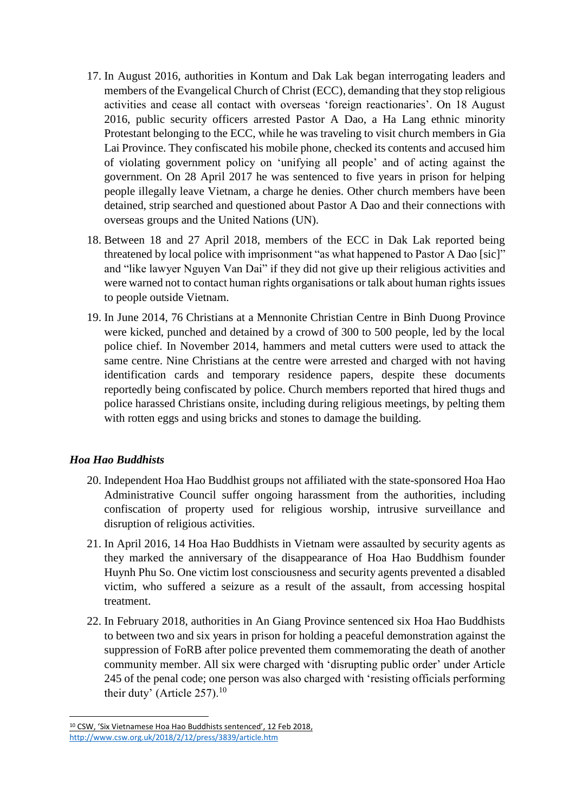- 17. In August 2016, authorities in Kontum and Dak Lak began interrogating leaders and members of the Evangelical Church of Christ (ECC), demanding that they stop religious activities and cease all contact with overseas 'foreign reactionaries'. On 18 August 2016, public security officers arrested Pastor A Dao, a Ha Lang ethnic minority Protestant belonging to the ECC, while he was traveling to visit church members in Gia Lai Province. They confiscated his mobile phone, checked its contents and accused him of violating government policy on 'unifying all people' and of acting against the government. On 28 April 2017 he was sentenced to five years in prison for helping people illegally leave Vietnam, a charge he denies. Other church members have been detained, strip searched and questioned about Pastor A Dao and their connections with overseas groups and the United Nations (UN).
- 18. Between 18 and 27 April 2018, members of the ECC in Dak Lak reported being threatened by local police with imprisonment "as what happened to Pastor A Dao [sic]" and "like lawyer Nguyen Van Dai" if they did not give up their religious activities and were warned not to contact human rights organisations or talk about human rights issues to people outside Vietnam.
- 19. In June 2014, 76 Christians at a Mennonite Christian Centre in Binh Duong Province were kicked, punched and detained by a crowd of 300 to 500 people, led by the local police chief. In November 2014, hammers and metal cutters were used to attack the same centre. Nine Christians at the centre were arrested and charged with not having identification cards and temporary residence papers, despite these documents reportedly being confiscated by police. Church members reported that hired thugs and police harassed Christians onsite, including during religious meetings, by pelting them with rotten eggs and using bricks and stones to damage the building.

## *Hoa Hao Buddhists*

- 20. Independent Hoa Hao Buddhist groups not affiliated with the state-sponsored Hoa Hao Administrative Council suffer ongoing harassment from the authorities, including confiscation of property used for religious worship, intrusive surveillance and disruption of religious activities.
- 21. In April 2016, 14 Hoa Hao Buddhists in Vietnam were assaulted by security agents as they marked the anniversary of the disappearance of Hoa Hao Buddhism founder Huynh Phu So. One victim lost consciousness and security agents prevented a disabled victim, who suffered a seizure as a result of the assault, from accessing hospital treatment.
- 22. In February 2018, authorities in An Giang Province sentenced six Hoa Hao Buddhists to between two and six years in prison for holding a peaceful demonstration against the suppression of FoRB after police prevented them commemorating the death of another community member. All six were charged with 'disrupting public order' under Article 245 of the penal code; one person was also charged with 'resisting officials performing their duty' (Article 257).<sup>10</sup>

**<sup>.</sup>** <sup>10</sup> CSW, 'Six Vietnamese Hoa Hao Buddhists sentenced', 12 Feb 2018, <http://www.csw.org.uk/2018/2/12/press/3839/article.htm>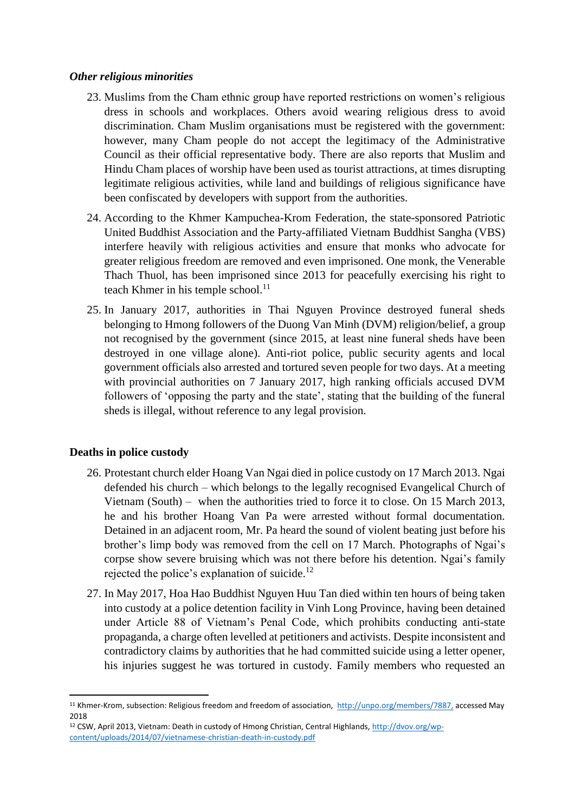### *Other religious minorities*

- 23. Muslims from the Cham ethnic group have reported restrictions on women's religious dress in schools and workplaces. Others avoid wearing religious dress to avoid discrimination. Cham Muslim organisations must be registered with the government: however, many Cham people do not accept the legitimacy of the Administrative Council as their official representative body. There are also reports that Muslim and Hindu Cham places of worship have been used as tourist attractions, at times disrupting legitimate religious activities, while land and buildings of religious significance have been confiscated by developers with support from the authorities.
- 24. According to the Khmer Kampuchea-Krom Federation, the state-sponsored Patriotic United Buddhist Association and the Party-affiliated Vietnam Buddhist Sangha (VBS) interfere heavily with religious activities and ensure that monks who advocate for greater religious freedom are removed and even imprisoned. One monk, the Venerable Thach Thuol, has been imprisoned since 2013 for peacefully exercising his right to teach Khmer in his temple school. $^{11}$
- 25. In January 2017, authorities in Thai Nguyen Province destroyed funeral sheds belonging to Hmong followers of the Duong Van Minh (DVM) religion/belief, a group not recognised by the government (since 2015, at least nine funeral sheds have been destroyed in one village alone). Anti-riot police, public security agents and local government officials also arrested and tortured seven people for two days. At a meeting with provincial authorities on 7 January 2017, high ranking officials accused DVM followers of 'opposing the party and the state', stating that the building of the funeral sheds is illegal, without reference to any legal provision.

## **Deaths in police custody**

- 26. Protestant church elder Hoang Van Ngai died in police custody on 17 March 2013. Ngai defended his church – which belongs to the legally recognised Evangelical Church of Vietnam (South) – when the authorities tried to force it to close. On 15 March 2013, he and his brother Hoang Van Pa were arrested without formal documentation. Detained in an adjacent room, Mr. Pa heard the sound of violent beating just before his brother's limp body was removed from the cell on 17 March. Photographs of Ngai's corpse show severe bruising which was not there before his detention. Ngai's family rejected the police's explanation of suicide.<sup>12</sup>
- 27. In May 2017, Hoa Hao Buddhist Nguyen Huu Tan died within ten hours of being taken into custody at a police detention facility in Vinh Long Province, having been detained under Article 88 of Vietnam's Penal Code, which prohibits conducting anti-state propaganda, a charge often levelled at petitioners and activists. Despite inconsistent and contradictory claims by authorities that he had committed suicide using a letter opener, his injuries suggest he was tortured in custody. Family members who requested an

<sup>&</sup>lt;sup>11</sup> Khmer-Krom, subsection: Religious freedom and freedom of association,<http://unpo.org/members/7887,> accessed May 2018

<sup>12</sup> CSW, April 2013, Vietnam: Death in custody of Hmong Christian, Central Highlands[, http://dvov.org/wp](http://dvov.org/wp-content/uploads/2014/07/vietnamese-christian-death-in-custody.pdf)[content/uploads/2014/07/vietnamese-christian-death-in-custody.pdf](http://dvov.org/wp-content/uploads/2014/07/vietnamese-christian-death-in-custody.pdf)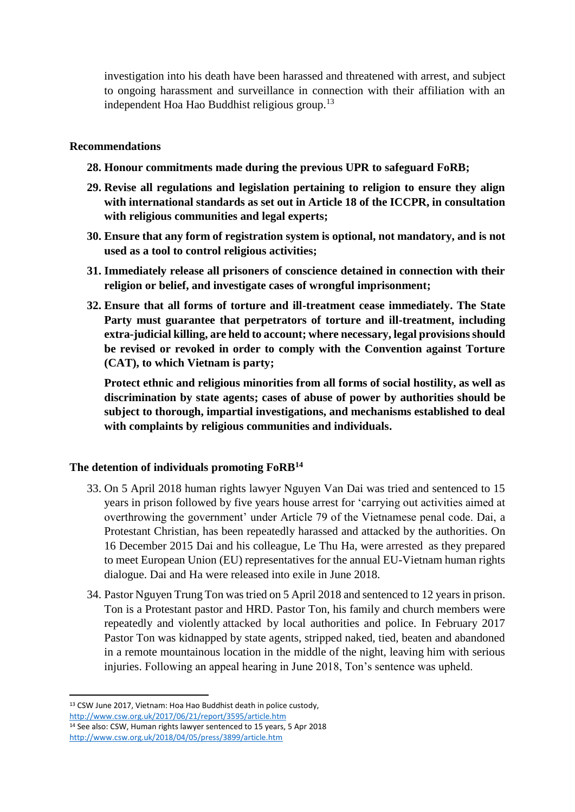investigation into his death have been harassed and threatened with arrest, and subject to ongoing harassment and surveillance in connection with their affiliation with an independent Hoa Hao Buddhist religious group.<sup>13</sup>

#### **Recommendations**

- **28. Honour commitments made during the previous UPR to safeguard FoRB;**
- **29. Revise all regulations and legislation pertaining to religion to ensure they align with international standards as set out in Article 18 of the ICCPR, in consultation with religious communities and legal experts;**
- **30. Ensure that any form of registration system is optional, not mandatory, and is not used as a tool to control religious activities;**
- **31. Immediately release all prisoners of conscience detained in connection with their religion or belief, and investigate cases of wrongful imprisonment;**
- **32. Ensure that all forms of torture and ill-treatment cease immediately. The State Party must guarantee that perpetrators of torture and ill-treatment, including extra-judicial killing, are held to account; where necessary, legal provisions should be revised or revoked in order to comply with the Convention against Torture (CAT), to which Vietnam is party;**

**Protect ethnic and religious minorities from all forms of social hostility, as well as discrimination by state agents; cases of abuse of power by authorities should be subject to thorough, impartial investigations, and mechanisms established to deal with complaints by religious communities and individuals.**

#### **The detention of individuals promoting FoRB<sup>14</sup>**

- 33. On 5 April 2018 human rights lawyer Nguyen Van Dai was tried and sentenced to 15 years in prison followed by five years house arrest for 'carrying out activities aimed at overthrowing the government' under Article 79 of the Vietnamese penal code. Dai, a Protestant Christian, has been repeatedly harassed and attacked by the authorities. On 16 December 2015 Dai and his colleague, Le Thu Ha, were [arrested](http://www.csw.org.uk/2018/04/03/news/3898/article.htm) as they prepared to meet European Union (EU) representatives for the annual EU-Vietnam human rights dialogue. Dai and Ha were released into exile in June 2018.
- 34. Pastor Nguyen Trung Ton was tried on 5 April 2018 and sentenced to 12 years in prison. Ton is a Protestant pastor and HRD. Pastor Ton, his family and church members were repeatedly and violently [attacked](http://link.email.dynect.net/link.php?DynEngagement=true&H=3ZUQjNycMu7D/e+m/Omi3Qi1eTNrfRb0HcFplK3KYerw+6SfjwwI9jP+Z5Onw7JJLm8MXj0p11NnjZN1ZrnLMJeHh/+wfZujDP88KukkkrOy7ZqWKDNxkw==&G=0&R=http://www.csw.org.uk/2017/03/23/press/3485/article.htm&I=20180403151101.0000000f6f7e@mail6-53-ussnn1&X=MHwxMDQ2NzU4OjVhYzM5OTdlOGI5YzJjNWM5Y2NhMzU4YTs=&S=VI49yzJ3xjClEdC8Vf27eFHDUusJZYlgUjAoYQyGEr4) by local authorities and police. In February 2017 Pastor Ton was kidnapped by state agents, stripped naked, tied, beaten and abandoned in a remote mountainous location in the middle of the night, leaving him with serious injuries. Following an appeal hearing in June 2018, Ton's sentence was upheld.

<sup>13</sup> CSW June 2017, Vietnam: Hoa Hao Buddhist death in police custody, <http://www.csw.org.uk/2017/06/21/report/3595/article.htm> <sup>14</sup> See also: CSW, Human rights lawyer sentenced to 15 years, 5 Apr 2018 <http://www.csw.org.uk/2018/04/05/press/3899/article.htm>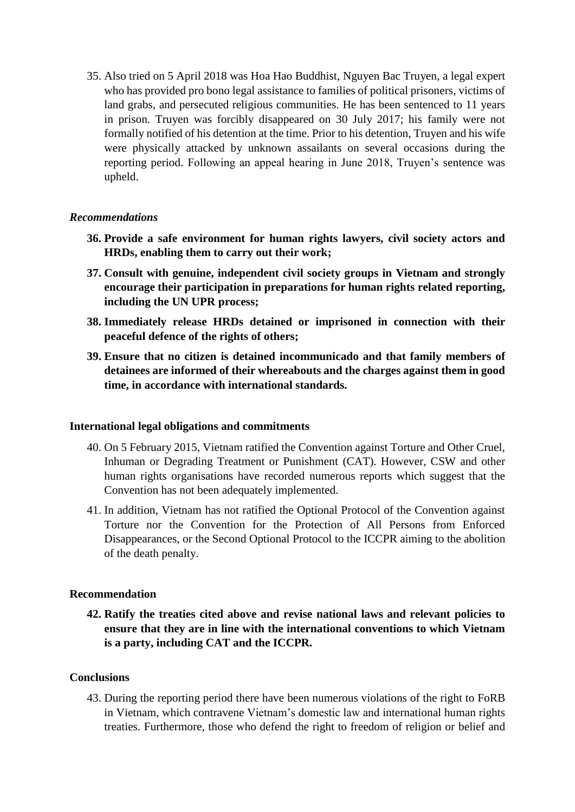35. Also tried on 5 April 2018 was Hoa Hao Buddhist, Nguyen Bac Truyen, a legal expert who has provided pro bono legal assistance to families of political prisoners, victims of land grabs, and persecuted religious communities. He has been sentenced to 11 years in prison. Truyen was forcibly disappeared on 30 July 2017; his family were not formally notified of his detention at the time. Prior to his detention, Truyen and his wife were physically attacked by unknown assailants on several occasions during the reporting period. Following an appeal hearing in June 2018, Truyen's sentence was upheld.

### *Recommendations*

- **36. Provide a safe environment for human rights lawyers, civil society actors and HRDs, enabling them to carry out their work;**
- **37. Consult with genuine, independent civil society groups in Vietnam and strongly encourage their participation in preparations for human rights related reporting, including the UN UPR process;**
- **38. Immediately release HRDs detained or imprisoned in connection with their peaceful defence of the rights of others;**
- **39. Ensure that no citizen is detained incommunicado and that family members of detainees are informed of their whereabouts and the charges against them in good time, in accordance with international standards.**

#### **International legal obligations and commitments**

- 40. On 5 February 2015, Vietnam ratified the Convention against Torture and Other Cruel, Inhuman or Degrading Treatment or Punishment (CAT). However, CSW and other human rights organisations have recorded numerous reports which suggest that the Convention has not been adequately implemented.
- 41. In addition, Vietnam has not ratified the Optional Protocol of the Convention against Torture nor the Convention for the Protection of All Persons from Enforced Disappearances, or the Second Optional Protocol to the ICCPR aiming to the abolition of the death penalty.

#### **Recommendation**

**42. Ratify the treaties cited above and revise national laws and relevant policies to ensure that they are in line with the international conventions to which Vietnam is a party, including CAT and the ICCPR.**

#### **Conclusions**

43. During the reporting period there have been numerous violations of the right to FoRB in Vietnam, which contravene Vietnam's domestic law and international human rights treaties. Furthermore, those who defend the right to freedom of religion or belief and